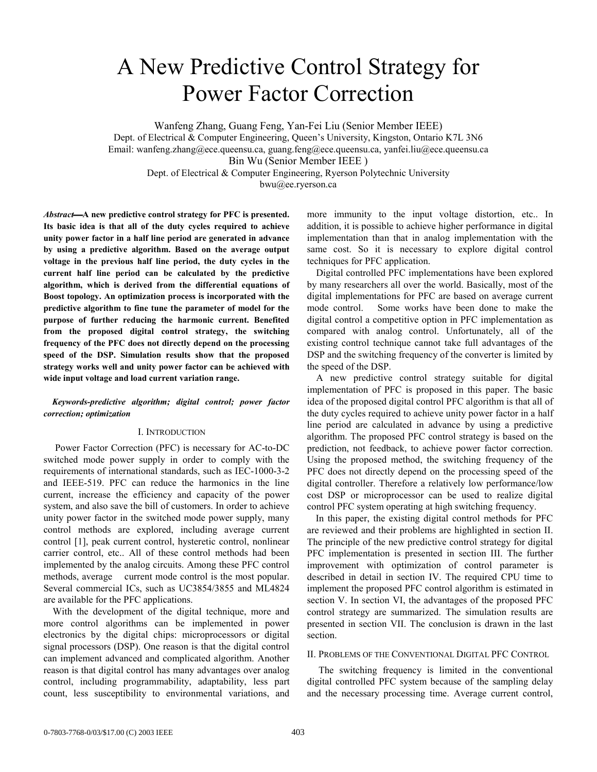# A New Predictive Control Strategy for Power Factor Correction

Wanfeng Zhang, Guang Feng, Yan-Fei Liu (Senior Member IEEE) Dept. of Electrical & Computer Engineering, Queen's University, Kingston, Ontario K7L 3N6 Email: wanfeng.zhang@ece.queensu.ca, guang.feng@ece.queensu.ca, yanfei.liu@ece.queensu.ca Bin Wu (Senior Member IEEE ) Dept. of Electrical & Computer Engineering, Ryerson Polytechnic University bwu@ee.ryerson.ca

*Abstract***A new predictive control strategy for PFC is presented. Its basic idea is that all of the duty cycles required to achieve unity power factor in a half line period are generated in advance by using a predictive algorithm. Based on the average output voltage in the previous half line period, the duty cycles in the current half line period can be calculated by the predictive algorithm, which is derived from the differential equations of Boost topology. An optimization process is incorporated with the predictive algorithm to fine tune the parameter of model for the purpose of further reducing the harmonic current. Benefited from the proposed digital control strategy, the switching frequency of the PFC does not directly depend on the processing speed of the DSP. Simulation results show that the proposed strategy works well and unity power factor can be achieved with wide input voltage and load current variation range.** 

## *Keywords-predictive algorithm; digital control; power factor correction; optimization*

## I. INTRODUCTION

 Power Factor Correction (PFC) is necessary for AC-to-DC switched mode power supply in order to comply with the requirements of international standards, such as IEC-1000-3-2 and IEEE-519. PFC can reduce the harmonics in the line current, increase the efficiency and capacity of the power system, and also save the bill of customers. In order to achieve unity power factor in the switched mode power supply, many control methods are explored, including average current control [1], peak current control, hysteretic control, nonlinear carrier control, etc.. All of these control methods had been implemented by the analog circuits. Among these PFC control methods, average current mode control is the most popular. Several commercial ICs, such as UC3854/3855 and ML4824 are available for the PFC applications.

With the development of the digital technique, more and more control algorithms can be implemented in power electronics by the digital chips: microprocessors or digital signal processors (DSP). One reason is that the digital control can implement advanced and complicated algorithm. Another reason is that digital control has many advantages over analog control, including programmability, adaptability, less part count, less susceptibility to environmental variations, and more immunity to the input voltage distortion, etc.. In addition, it is possible to achieve higher performance in digital implementation than that in analog implementation with the same cost. So it is necessary to explore digital control techniques for PFC application.

Digital controlled PFC implementations have been explored by many researchers all over the world. Basically, most of the digital implementations for PFC are based on average current mode control. Some works have been done to make the digital control a competitive option in PFC implementation as compared with analog control. Unfortunately, all of the existing control technique cannot take full advantages of the DSP and the switching frequency of the converter is limited by the speed of the DSP.

A new predictive control strategy suitable for digital implementation of PFC is proposed in this paper. The basic idea of the proposed digital control PFC algorithm is that all of the duty cycles required to achieve unity power factor in a half line period are calculated in advance by using a predictive algorithm. The proposed PFC control strategy is based on the prediction, not feedback, to achieve power factor correction. Using the proposed method, the switching frequency of the PFC does not directly depend on the processing speed of the digital controller. Therefore a relatively low performance/low cost DSP or microprocessor can be used to realize digital control PFC system operating at high switching frequency.

In this paper, the existing digital control methods for PFC are reviewed and their problems are highlighted in section II. The principle of the new predictive control strategy for digital PFC implementation is presented in section III. The further improvement with optimization of control parameter is described in detail in section IV. The required CPU time to implement the proposed PFC control algorithm is estimated in section V. In section VI, the advantages of the proposed PFC control strategy are summarized. The simulation results are presented in section VII. The conclusion is drawn in the last section.

## II. PROBLEMS OF THE CONVENTIONAL DIGITAL PFC CONTROL

 The switching frequency is limited in the conventional digital controlled PFC system because of the sampling delay and the necessary processing time. Average current control,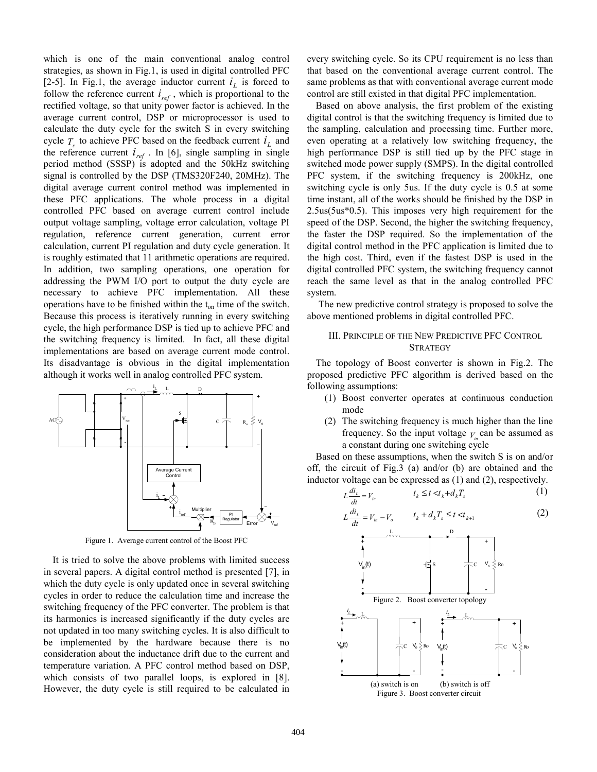which is one of the main conventional analog control strategies, as shown in Fig.1, is used in digital controlled PFC [2-5]. In Fig.1, the average inductor current  $i_l$  is forced to follow the reference current  $i_{ref}$ , which is proportional to the rectified voltage, so that unity power factor is achieved. In the average current control, DSP or microprocessor is used to calculate the duty cycle for the switch S in every switching cycle  $T<sub>s</sub>$  to achieve PFC based on the feedback current  $i<sub>L</sub>$  and the reference current  $i_{ref}$ . In [6], single sampling in single period method (SSSP) is adopted and the 50kHz switching signal is controlled by the DSP (TMS320F240, 20MHz). The digital average current control method was implemented in these PFC applications. The whole process in a digital controlled PFC based on average current control include output voltage sampling, voltage error calculation, voltage PI regulation, reference current generation, current error calculation, current PI regulation and duty cycle generation. It is roughly estimated that 11 arithmetic operations are required. In addition, two sampling operations, one operation for addressing the PWM I/O port to output the duty cycle are necessary to achieve PFC implementation. All these operations have to be finished within the  $t_{on}$  time of the switch. Because this process is iteratively running in every switching cycle, the high performance DSP is tied up to achieve PFC and the switching frequency is limited. In fact, all these digital implementations are based on average current mode control. Its disadvantage is obvious in the digital implementation although it works well in analog controlled PFC system.



Figure 1. Average current control of the Boost PFC

It is tried to solve the above problems with limited success in several papers. A digital control method is presented [7], in which the duty cycle is only updated once in several switching cycles in order to reduce the calculation time and increase the switching frequency of the PFC converter. The problem is that its harmonics is increased significantly if the duty cycles are not updated in too many switching cycles. It is also difficult to be implemented by the hardware because there is no consideration about the inductance drift due to the current and temperature variation. A PFC control method based on DSP, which consists of two parallel loops, is explored in [8]. However, the duty cycle is still required to be calculated in every switching cycle. So its CPU requirement is no less than that based on the conventional average current control. The same problems as that with conventional average current mode control are still existed in that digital PFC implementation.

Based on above analysis, the first problem of the existing digital control is that the switching frequency is limited due to the sampling, calculation and processing time. Further more, even operating at a relatively low switching frequency, the high performance DSP is still tied up by the PFC stage in switched mode power supply (SMPS). In the digital controlled PFC system, if the switching frequency is 200kHz, one switching cycle is only 5us. If the duty cycle is 0.5 at some time instant, all of the works should be finished by the DSP in 2.5us(5us\*0.5). This imposes very high requirement for the speed of the DSP. Second, the higher the switching frequency, the faster the DSP required. So the implementation of the digital control method in the PFC application is limited due to the high cost. Third, even if the fastest DSP is used in the digital controlled PFC system, the switching frequency cannot reach the same level as that in the analog controlled PFC system.

 The new predictive control strategy is proposed to solve the above mentioned problems in digital controlled PFC.

## III. PRINCIPLE OF THE NEW PREDICTIVE PFC CONTROL **STRATEGY**

The topology of Boost converter is shown in Fig.2. The proposed predictive PFC algorithm is derived based on the following assumptions:

- (1) Boost converter operates at continuous conduction mode
- (2) The switching frequency is much higher than the line frequency. So the input voltage  $V<sub>i</sub>$  can be assumed as a constant during one switching cycle

Based on these assumptions, when the switch S is on and/or off, the circuit of Fig.3 (a) and/or (b) are obtained and the inductor voltage can be expressed as (1) and (2), respectively.

$$
L\frac{di_L}{dt} = V_{in} \qquad t_k \le t < t_k + d_k T_s \tag{1}
$$



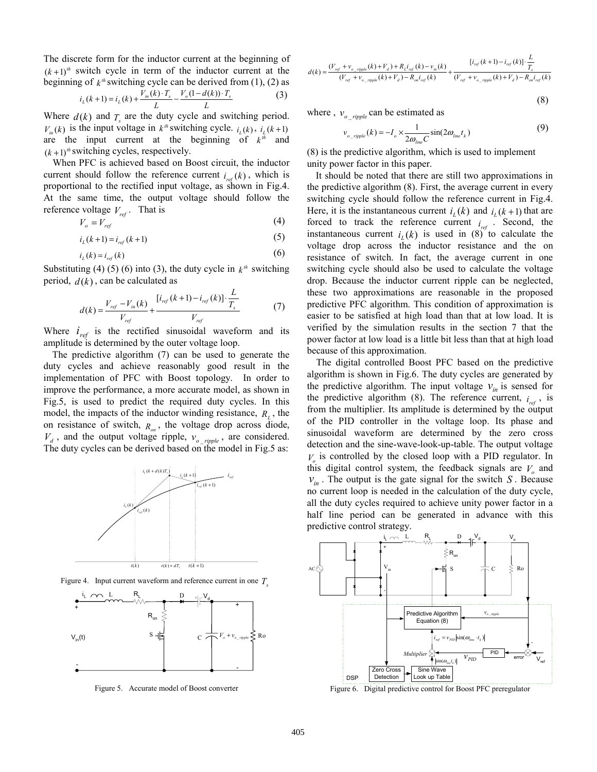The discrete form for the inductor current at the beginning of  $(k+1)^{th}$  switch cycle in term of the inductor current at the beginning of  $k^{\mu}$  switching cycle can be derived from (1), (2) as

$$
i_{L}(k+1) = i_{L}(k) + \frac{V_{in}(k) \cdot T_{s}}{L} - \frac{V_{o}(1 - d(k)) \cdot T_{s}}{L}
$$
 (3)

Where  $d(k)$  and  $T<sub>s</sub>$  are the duty cycle and switching period.  $V_{in}(k)$  is the input voltage in  $k^{\text{th}}$  switching cycle.  $i_{L}(k)$ ,  $i_{L}(k+1)$ are the input current at the beginning of  $k^{\hat{u}}$  and  $(k+1)$ <sup>th</sup> switching cycles, respectively.

When PFC is achieved based on Boost circuit, the inductor current should follow the reference current  $i_{ref}(k)$ , which is proportional to the rectified input voltage, as shown in Fig.4. At the same time, the output voltage should follow the reference voltage  $V_{ref}$ . That is

$$
V_o = V_{ref} \tag{4}
$$

$$
i_L(k+1) = i_{ref}(k+1)
$$
 (5)

$$
i_L(k) = i_{ref}(k) \tag{6}
$$

Substituting (4) (5) (6) into (3), the duty cycle in  $k^{\text{th}}$  switching period,  $d(k)$ , can be calculated as

$$
d(k) = \frac{V_{ref} - V_{in}(k)}{V_{ref}} + \frac{[i_{ref}(k+1) - i_{ref}(k)] \cdot \frac{L}{T_s}}{V_{ref}}
$$
(7)

Where  $i_{ref}$  is the rectified sinusoidal waveform and its amplitude is determined by the outer voltage loop.

The predictive algorithm (7) can be used to generate the duty cycles and achieve reasonably good result in the implementation of PFC with Boost topology. In order to improve the performance, a more accurate model, as shown in Fig.5, is used to predict the required duty cycles. In this model, the impacts of the inductor winding resistance,  $R<sub>i</sub>$ , the on resistance of switch,  $R_{on}$ , the voltage drop across diode,  $V_d$ , and the output voltage ripple,  $v_{o\_ripple}$ , are considered. The duty cycles can be derived based on the model in Fig.5 as:



Figure 4. Input current waveform and reference current in one  $T_s$ 



Figure 5. Accurate model of Boost converter

$$
d(k) = \frac{(V_{ref} + v_{o\_ripple}(k) + V_d) + R_L i_{ref}(k) - v_{in}(k)}{(V_{ref} + v_{o\_ripple}(k) + V_d) - R_{on} i_{ref}(k)} + \frac{[i_{ref}(k+1) - i_{ref}(k)] \cdot \frac{L}{T_s}}{(V_{ref} + v_{o\_ripple}(k) + V_d) - R_{on} i_{ref}(k)}
$$

(8)

where ,  $v_{o}}_{ripole}$  can be estimated as

$$
v_{o\_ripple}(k) = -I_o \times \frac{1}{2\omega_{line}C} \sin(2\omega_{line}t_k)
$$
\n(9)

(8) is the predictive algorithm, which is used to implement unity power factor in this paper.

It should be noted that there are still two approximations in the predictive algorithm (8). First, the average current in every switching cycle should follow the reference current in Fig.4. Here, it is the instantaneous current  $i_l(k)$  and  $i_l(k+1)$  that are forced to track the reference current  $i_{ref}$ . Second, the instantaneous current  $i_l(k)$  is used in (8) to calculate the voltage drop across the inductor resistance and the on resistance of switch. In fact, the average current in one switching cycle should also be used to calculate the voltage drop. Because the inductor current ripple can be neglected, these two approximations are reasonable in the proposed predictive PFC algorithm. This condition of approximation is easier to be satisfied at high load than that at low load. It is verified by the simulation results in the section 7 that the power factor at low load is a little bit less than that at high load because of this approximation.

The digital controlled Boost PFC based on the predictive algorithm is shown in Fig.6. The duty cycles are generated by the predictive algorithm. The input voltage  $v_{in}$  is sensed for the predictive algorithm (8). The reference current,  $i_{ref}$ , is from the multiplier. Its amplitude is determined by the output of the PID controller in the voltage loop. Its phase and sinusoidal waveform are determined by the zero cross detection and the sine-wave-look-up-table. The output voltage  $V$  is controlled by the closed loop with a PID regulator. In this digital control system, the feedback signals are  $V<sub>a</sub>$  and  $v_{in}$ . The output is the gate signal for the switch *S*. Because no current loop is needed in the calculation of the duty cycle, all the duty cycles required to achieve unity power factor in a half line period can be generated in advance with this predictive control strategy.



Figure 6. Digital predictive control for Boost PFC preregulator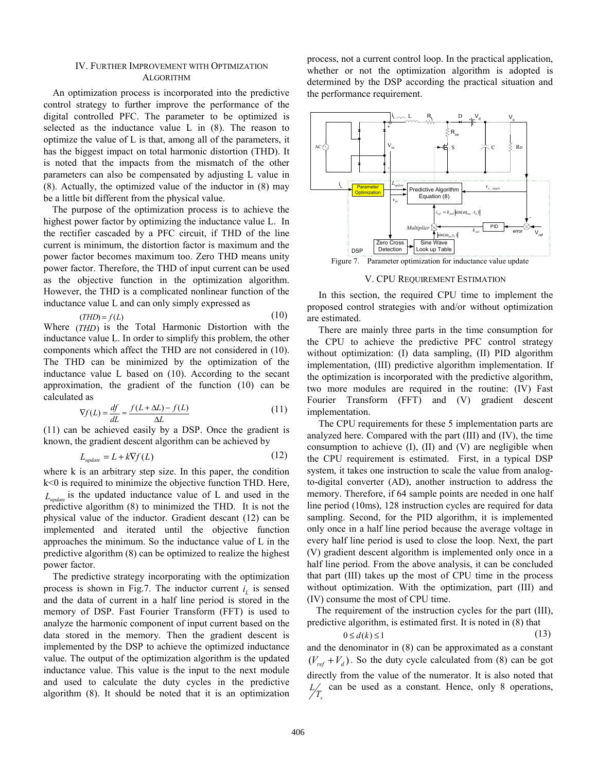## IV. FURTHER IMPROVEMENT WITH OPTIMIZATION ALGORITHM

An optimization process is incorporated into the predictive control strategy to further improve the performance of the digital controlled PFC. The parameter to be optimized is selected as the inductance value L in (8). The reason to optimize the value of L is that, among all of the parameters, it has the biggest impact on total harmonic distortion (THD). It is noted that the impacts from the mismatch of the other parameters can also be compensated by adjusting L value in (8). Actually, the optimized value of the inductor in (8) may be a little bit different from the physical value.

The purpose of the optimization process is to achieve the highest power factor by optimizing the inductance value L. In the rectifier cascaded by a PFC circuit, if THD of the line current is minimum, the distortion factor is maximum and the power factor becomes maximum too. Zero THD means unity power factor. Therefore, the THD of input current can be used as the objective function in the optimization algorithm. However, the THD is a complicated nonlinear function of the inductance value L and can only simply expressed as

$$
(THD) = f(L)
$$
\n(10)

\nhere *(THD)* is the Total Harmonic Distortion with the

Where (*THD*) is the Total Harmonic Distortion with the inductance value L. In order to simplify this problem, the other components which affect the THD are not considered in (10). The THD can be minimized by the optimization of the inductance value L based on (10). According to the secant approximation, the gradient of the function (10) can be calculated as

$$
\nabla f(L) = \frac{df}{dL} \approx \frac{f(L + \Delta L) - f(L)}{\Delta L}
$$
\n(11)

(11) can be achieved easily by a DSP. Once the gradient is known, the gradient descent algorithm can be achieved by

$$
L_{\text{update}} = L + k \nabla f(L) \tag{12}
$$

where k is an arbitrary step size. In this paper, the condition k<0 is required to minimize the objective function THD. Here, *Lupdate* is the updated inductance value of L and used in the predictive algorithm (8) to minimized the THD. It is not the physical value of the inductor. Gradient descant (12) can be implemented and iterated until the objective function approaches the minimum. So the inductance value of L in the predictive algorithm (8) can be optimized to realize the highest power factor.

The predictive strategy incorporating with the optimization process is shown in Fig.7. The inductor current  $i<sub>i</sub>$  is sensed and the data of current in a half line period is stored in the memory of DSP. Fast Fourier Transform (FFT) is used to analyze the harmonic component of input current based on the data stored in the memory. Then the gradient descent is implemented by the DSP to achieve the optimized inductance value. The output of the optimization algorithm is the updated inductance value. This value is the input to the next module and used to calculate the duty cycles in the predictive algorithm (8). It should be noted that it is an optimization process, not a current control loop. In the practical application, whether or not the optimization algorithm is adopted is determined by the DSP according the practical situation and the performance requirement.



V. CPU REQUIREMENT ESTIMATION

 In this section, the required CPU time to implement the proposed control strategies with and/or without optimization are estimated.

 There are mainly three parts in the time consumption for the CPU to achieve the predictive PFC control strategy without optimization: (I) data sampling, (II) PID algorithm implementation, (III) predictive algorithm implementation. If the optimization is incorporated with the predictive algorithm, two more modules are required in the routine: (IV) Fast Fourier Transform (FFT) and (V) gradient descent implementation.

 The CPU requirements for these 5 implementation parts are analyzed here. Compared with the part (III) and (IV), the time consumption to achieve  $(I)$ ,  $(II)$  and  $(V)$  are negligible when the CPU requirement is estimated. First, in a typical DSP system, it takes one instruction to scale the value from analogto-digital converter (AD), another instruction to address the memory. Therefore, if 64 sample points are needed in one half line period (10ms), 128 instruction cycles are required for data sampling. Second, for the PID algorithm, it is implemented only once in a half line period because the average voltage in every half line period is used to close the loop. Next, the part (V) gradient descent algorithm is implemented only once in a half line period. From the above analysis, it can be concluded that part (III) takes up the most of CPU time in the process without optimization. With the optimization, part (III) and (IV) consume the most of CPU time.

The requirement of the instruction cycles for the part (III), predictive algorithm, is estimated first. It is noted in (8) that

$$
0 \le d(k) \le 1 \tag{13}
$$

and the denominator in (8) can be approximated as a constant  $(V_{ref} + V_d)$ . So the duty cycle calculated from (8) can be got directly from the value of the numerator. It is also noted that  $L/T_s$  can be used as a constant. Hence, only 8 operations,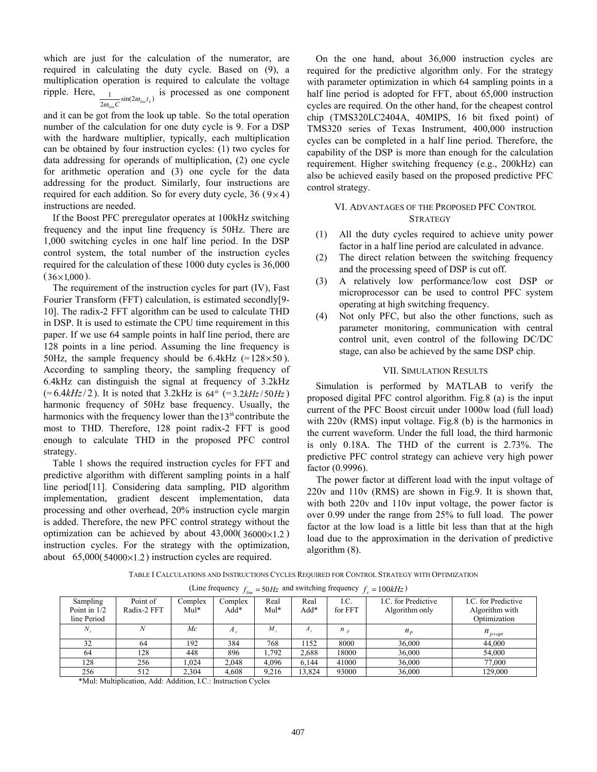which are just for the calculation of the numerator, are required in calculating the duty cycle. Based on (9), a multiplication operation is required to calculate the voltage ripple. Here,  $\frac{1}{2 \omega_{line} C} \sin(2 \omega_{line} t_k)$ is processed as one component

and it can be got from the look up table. So the total operation number of the calculation for one duty cycle is 9. For a DSP with the hardware multiplier, typically, each multiplication can be obtained by four instruction cycles: (1) two cycles for data addressing for operands of multiplication, (2) one cycle for arithmetic operation and (3) one cycle for the data addressing for the product. Similarly, four instructions are required for each addition. So for every duty cycle,  $36 (9 \times 4)$ instructions are needed.

If the Boost PFC preregulator operates at 100kHz switching frequency and the input line frequency is 50Hz. There are 1,000 switching cycles in one half line period. In the DSP control system, the total number of the instruction cycles required for the calculation of these 1000 duty cycles is 36,000  $(36\times1,000)$ .

The requirement of the instruction cycles for part (IV), Fast Fourier Transform (FFT) calculation, is estimated secondly[9- 10]. The radix-2 FFT algorithm can be used to calculate THD in DSP. It is used to estimate the CPU time requirement in this paper. If we use 64 sample points in half line period, there are 128 points in a line period. Assuming the line frequency is 50Hz, the sample frequency should be 6.4kHz  $(=128\times50)$ . According to sampling theory, the sampling frequency of 6.4kHz can distinguish the signal at frequency of 3.2kHz  $(= 6.4kHz/2)$ . It is noted that 3.2kHz is  $64<sup>th</sup>$  (=3.2kHz/50Hz) harmonic frequency of 50Hz base frequency. Usually, the harmonics with the frequency lower than the 13<sup>th</sup> contribute the most to THD. Therefore, 128 point radix-2 FFT is good enough to calculate THD in the proposed PFC control strategy.

Table 1 shows the required instruction cycles for FFT and predictive algorithm with different sampling points in a half line period[11]. Considering data sampling, PID algorithm implementation, gradient descent implementation, data processing and other overhead, 20% instruction cycle margin is added. Therefore, the new PFC control strategy without the optimization can be achieved by about  $43,000(36000\times1.2)$ instruction cycles. For the strategy with the optimization, about  $65,000(54000\times1.2)$  instruction cycles are required.

On the one hand, about 36,000 instruction cycles are required for the predictive algorithm only. For the strategy with parameter optimization in which 64 sampling points in a half line period is adopted for FFT, about 65,000 instruction cycles are required. On the other hand, for the cheapest control chip (TMS320LC2404A, 40MIPS, 16 bit fixed point) of TMS320 series of Texas Instrument, 400,000 instruction cycles can be completed in a half line period. Therefore, the capability of the DSP is more than enough for the calculation requirement. Higher switching frequency (e.g., 200kHz) can also be achieved easily based on the proposed predictive PFC control strategy.

# VI. ADVANTAGES OF THE PROPOSED PFC CONTROL **STRATEGY**

- (1) All the duty cycles required to achieve unity power factor in a half line period are calculated in advance.
- (2) The direct relation between the switching frequency and the processing speed of DSP is cut off.
- (3) A relatively low performance/low cost DSP or microprocessor can be used to control PFC system operating at high switching frequency.
- (4) Not only PFC, but also the other functions, such as parameter monitoring, communication with central control unit, even control of the following DC/DC stage, can also be achieved by the same DSP chip.

## VII. SIMULATION RESULTS

Simulation is performed by MATLAB to verify the proposed digital PFC control algorithm. Fig.8 (a) is the input current of the PFC Boost circuit under 1000w load (full load) with 220v (RMS) input voltage. Fig.8 (b) is the harmonics in the current waveform. Under the full load, the third harmonic is only 0.18A. The THD of the current is 2.73%. The predictive PFC control strategy can achieve very high power factor (0.9996).

The power factor at different load with the input voltage of 220v and 110v (RMS) are shown in Fig.9. It is shown that, with both 220v and 110v input voltage, the power factor is over 0.99 under the range from 25% to full load. The power factor at the low load is a little bit less than that at the high load due to the approximation in the derivation of predictive algorithm (8).

| (Eine nequency $f_{line} = 50Hz$ and switching nequency $f_s = 100kHz$ ) |             |         |         |        |        |         |                     |                     |
|--------------------------------------------------------------------------|-------------|---------|---------|--------|--------|---------|---------------------|---------------------|
| Sampling                                                                 | Point of    | Complex | Complex | Real   | Real   | I.C.    | I.C. for Predictive | I.C. for Predictive |
| Point in $1/2$                                                           | Radix-2 FFT | $Mul*$  | Add*    | $Mul*$ | Add*   | for FFT | Algorithm only      | Algorithm with      |
| line Period                                                              |             |         |         |        |        |         |                     | Optimization        |
| N.                                                                       |             | Mc      |         | M      |        | $n_{E}$ | $n_{\rm p}$         | $n_{p+opt}$         |
| 32                                                                       | 64          | 192     | 384     | 768    | 152    | 8000    | 36,000              | 44,000              |
| 64                                                                       | 128         | 448     | 896     | .792   | 2.688  | 18000   | 36,000              | 54.000              |
| 128                                                                      | 256         | 1.024   | 2.048   | 4.096  | 6.144  | 41000   | 36,000              | 77,000              |
| 256                                                                      | 512         | 2.304   | 4.608   | 9.216  | 13.824 | 93000   | 36,000              | 129.000             |

TABLE I CALCULATIONS AND INSTRUCTIONS CYCLES REQUIRED FOR CONTROL STRATEGY WITH OPTIMIZATION (Line frequency  $f = 50 \text{ Hz}$  and switching frequency  $f = 100 \text{ kHz}$ )

\*Mul: Multiplication, Add: Addition, I.C.: Instruction Cycles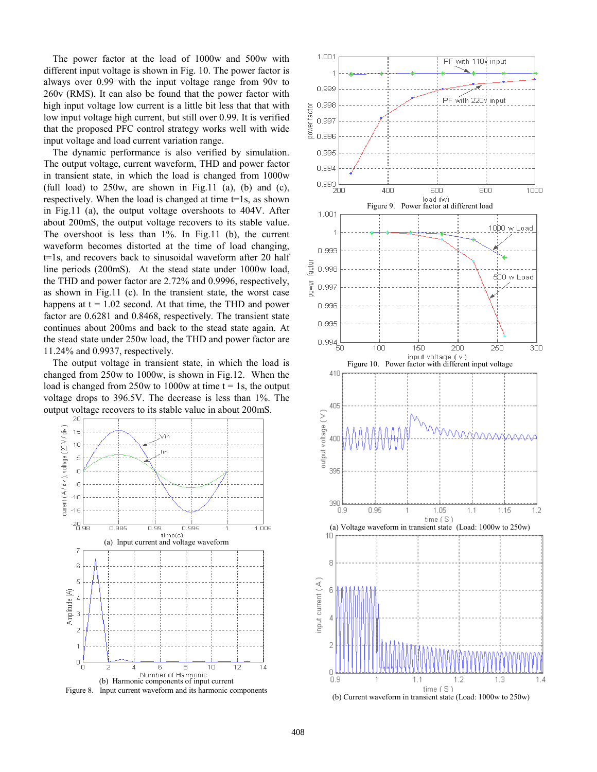The power factor at the load of 1000w and 500w with different input voltage is shown in Fig. 10. The power factor is always over 0.99 with the input voltage range from 90v to 260v (RMS). It can also be found that the power factor with high input voltage low current is a little bit less that that with low input voltage high current, but still over 0.99. It is verified that the proposed PFC control strategy works well with wide input voltage and load current variation range.

The dynamic performance is also verified by simulation. The output voltage, current waveform, THD and power factor in transient state, in which the load is changed from 1000w (full load) to  $250w$ , are shown in Fig. 11 (a), (b) and (c), respectively. When the load is changed at time t=1s, as shown in Fig.11 (a), the output voltage overshoots to 404V. After about 200mS, the output voltage recovers to its stable value. The overshoot is less than 1%. In Fig.11 (b), the current waveform becomes distorted at the time of load changing, t=1s, and recovers back to sinusoidal waveform after 20 half line periods (200mS). At the stead state under 1000w load, the THD and power factor are 2.72% and 0.9996, respectively, as shown in Fig.11 (c). In the transient state, the worst case happens at  $t = 1.02$  second. At that time, the THD and power factor are 0.6281 and 0.8468, respectively. The transient state continues about 200ms and back to the stead state again. At the stead state under 250w load, the THD and power factor are 11.24% and 0.9937, respectively.

The output voltage in transient state, in which the load is changed from 250w to 1000w, is shown in Fig.12. When the load is changed from  $250w$  to  $1000w$  at time  $t = 1s$ , the output voltage drops to 396.5V. The decrease is less than 1%. The output voltage recovers to its stable value in about 200mS.



Figure 8. Input current waveform and its harmonic components